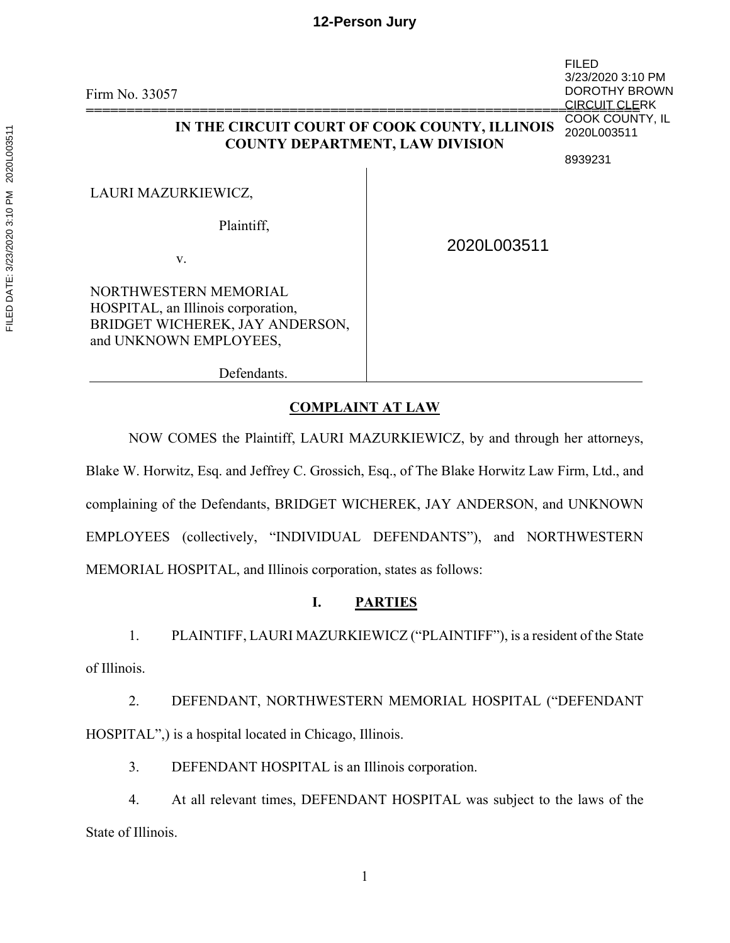## **12-Person Jury**

Firm No. 33057 **==================================================================== IN THE CIRCUIT COURT OF COOK COUNTY, ILLINOIS COUNTY DEPARTMENT, LAW DIVISION** LAURI MAZURKIEWICZ, Plaintiff, v. FILED 3/23/2020 3:10 PM DOROTHY BROWN **CIRCUIT CLERK** COOK COUNTY, IL 2020L003511 8939231 2020L003511

NORTHWESTERN MEMORIAL HOSPITAL, an Illinois corporation, BRIDGET WICHEREK, JAY ANDERSON, and UNKNOWN EMPLOYEES,

Defendants.

## **COMPLAINT AT LAW**

NOW COMES the Plaintiff, LAURI MAZURKIEWICZ, by and through her attorneys, Blake W. Horwitz, Esq. and Jeffrey C. Grossich, Esq., of The Blake Horwitz Law Firm, Ltd., and complaining of the Defendants, BRIDGET WICHEREK, JAY ANDERSON, and UNKNOWN EMPLOYEES (collectively, "INDIVIDUAL DEFENDANTS"), and NORTHWESTERN MEMORIAL HOSPITAL, and Illinois corporation, states as follows:

# **I. PARTIES**

1. PLAINTIFF, LAURI MAZURKIEWICZ ("PLAINTIFF"), is a resident of the State of Illinois.

2. DEFENDANT, NORTHWESTERN MEMORIAL HOSPITAL ("DEFENDANT HOSPITAL",) is a hospital located in Chicago, Illinois.

3. DEFENDANT HOSPITAL is an Illinois corporation.

4. At all relevant times, DEFENDANT HOSPITAL was subject to the laws of the State of Illinois.

FILED DATE: 3/23/2020 3:10 PM 2020L003511 FILED DATE: 3/23/2020 3:10 PM 2020L003511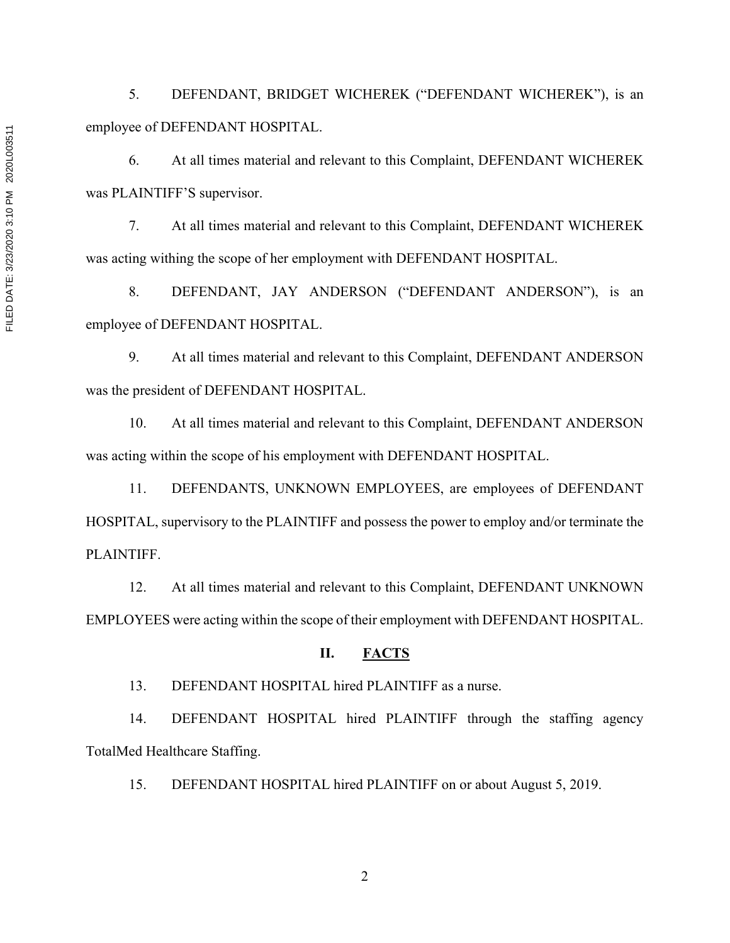5. DEFENDANT, BRIDGET WICHEREK ("DEFENDANT WICHEREK"), is an employee of DEFENDANT HOSPITAL.

6. At all times material and relevant to this Complaint, DEFENDANT WICHEREK was PLAINTIFF'S supervisor.

7. At all times material and relevant to this Complaint, DEFENDANT WICHEREK was acting withing the scope of her employment with DEFENDANT HOSPITAL.

8. DEFENDANT, JAY ANDERSON ("DEFENDANT ANDERSON"), is an employee of DEFENDANT HOSPITAL.

9. At all times material and relevant to this Complaint, DEFENDANT ANDERSON was the president of DEFENDANT HOSPITAL.

10. At all times material and relevant to this Complaint, DEFENDANT ANDERSON was acting within the scope of his employment with DEFENDANT HOSPITAL.

11. DEFENDANTS, UNKNOWN EMPLOYEES, are employees of DEFENDANT HOSPITAL, supervisory to the PLAINTIFF and possess the power to employ and/or terminate the PLAINTIFF.

12. At all times material and relevant to this Complaint, DEFENDANT UNKNOWN EMPLOYEES were acting within the scope of their employment with DEFENDANT HOSPITAL.

## **II. FACTS**

13. DEFENDANT HOSPITAL hired PLAINTIFF as a nurse.

14. DEFENDANT HOSPITAL hired PLAINTIFF through the staffing agency TotalMed Healthcare Staffing.

15. DEFENDANT HOSPITAL hired PLAINTIFF on or about August 5, 2019.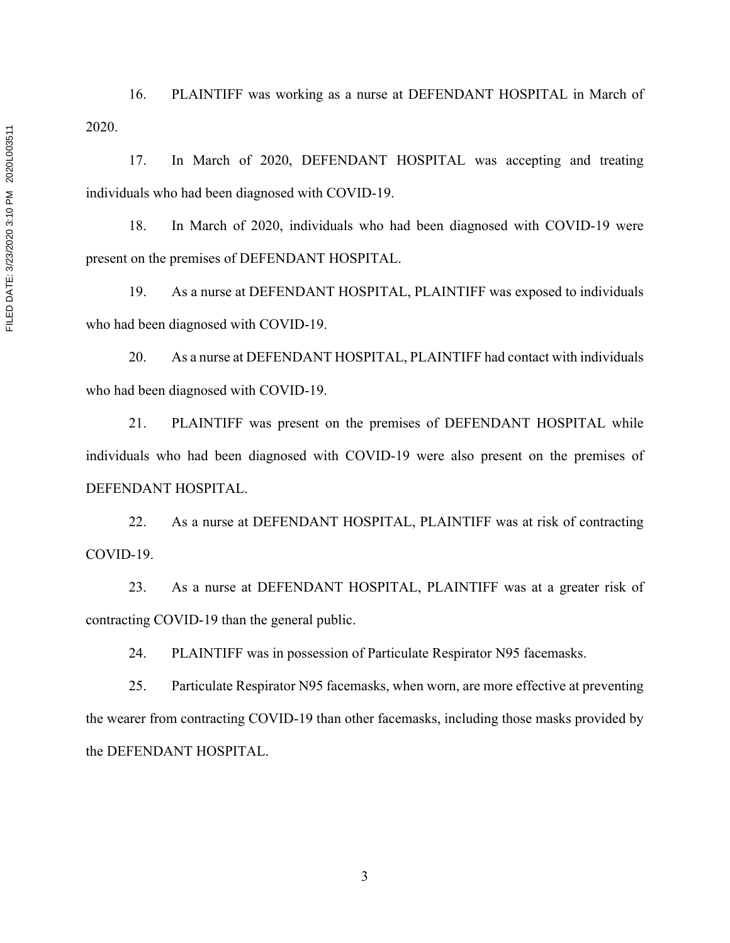16. PLAINTIFF was working as a nurse at DEFENDANT HOSPITAL in March of 2020.

17. In March of 2020, DEFENDANT HOSPITAL was accepting and treating individuals who had been diagnosed with COVID-19.

18. In March of 2020, individuals who had been diagnosed with COVID-19 were present on the premises of DEFENDANT HOSPITAL.

19. As a nurse at DEFENDANT HOSPITAL, PLAINTIFF was exposed to individuals who had been diagnosed with COVID-19.

20. As a nurse at DEFENDANT HOSPITAL, PLAINTIFF had contact with individuals who had been diagnosed with COVID-19.

21. PLAINTIFF was present on the premises of DEFENDANT HOSPITAL while individuals who had been diagnosed with COVID-19 were also present on the premises of DEFENDANT HOSPITAL.

22. As a nurse at DEFENDANT HOSPITAL, PLAINTIFF was at risk of contracting COVID-19.

23. As a nurse at DEFENDANT HOSPITAL, PLAINTIFF was at a greater risk of contracting COVID-19 than the general public.

24. PLAINTIFF was in possession of Particulate Respirator N95 facemasks.

25. Particulate Respirator N95 facemasks, when worn, are more effective at preventing the wearer from contracting COVID-19 than other facemasks, including those masks provided by the DEFENDANT HOSPITAL.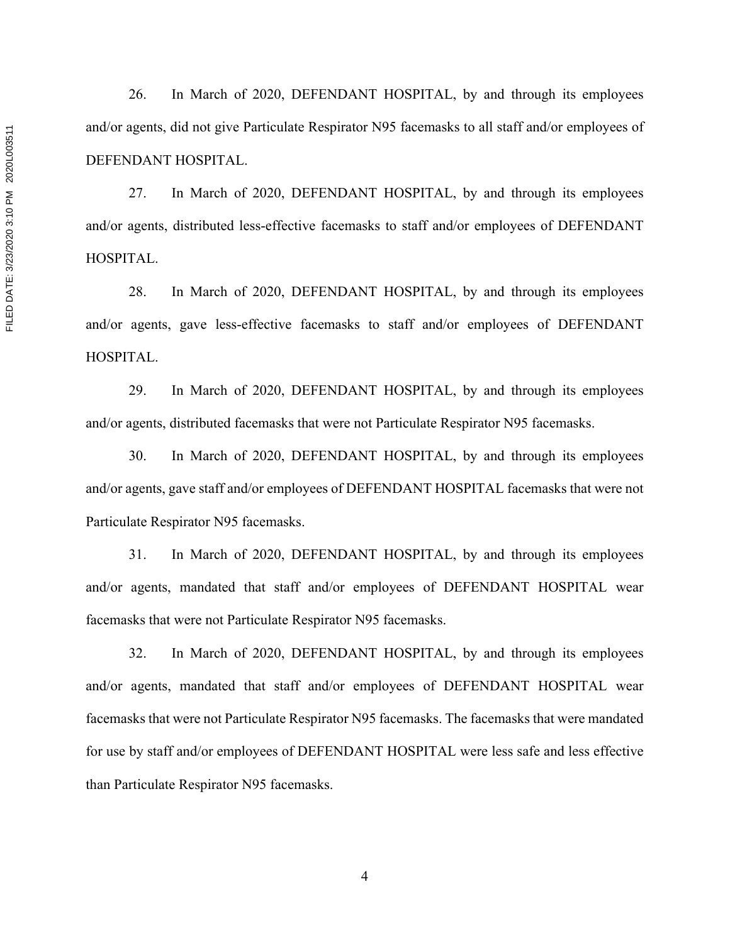26. In March of 2020, DEFENDANT HOSPITAL, by and through its employees and/or agents, did not give Particulate Respirator N95 facemasks to all staff and/or employees of DEFENDANT HOSPITAL.

27. In March of 2020, DEFENDANT HOSPITAL, by and through its employees and/or agents, distributed less-effective facemasks to staff and/or employees of DEFENDANT HOSPITAL.

28. In March of 2020, DEFENDANT HOSPITAL, by and through its employees and/or agents, gave less-effective facemasks to staff and/or employees of DEFENDANT HOSPITAL.

29. In March of 2020, DEFENDANT HOSPITAL, by and through its employees and/or agents, distributed facemasks that were not Particulate Respirator N95 facemasks.

30. In March of 2020, DEFENDANT HOSPITAL, by and through its employees and/or agents, gave staff and/or employees of DEFENDANT HOSPITAL facemasks that were not Particulate Respirator N95 facemasks.

31. In March of 2020, DEFENDANT HOSPITAL, by and through its employees and/or agents, mandated that staff and/or employees of DEFENDANT HOSPITAL wear facemasks that were not Particulate Respirator N95 facemasks.

32. In March of 2020, DEFENDANT HOSPITAL, by and through its employees and/or agents, mandated that staff and/or employees of DEFENDANT HOSPITAL wear facemasks that were not Particulate Respirator N95 facemasks. The facemasks that were mandated for use by staff and/or employees of DEFENDANT HOSPITAL were less safe and less effective than Particulate Respirator N95 facemasks.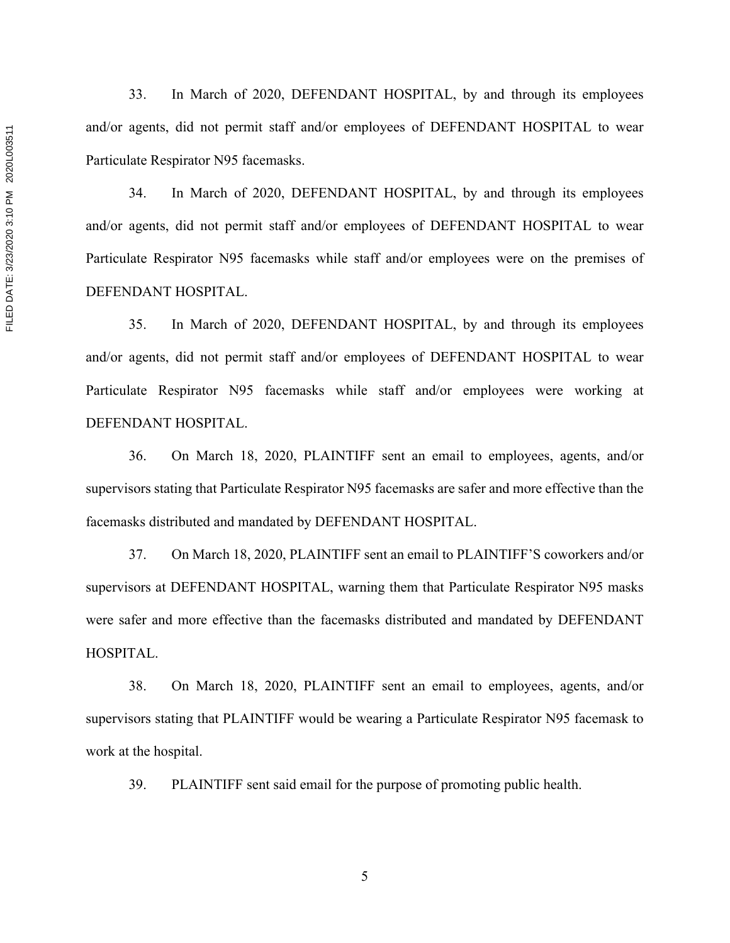33. In March of 2020, DEFENDANT HOSPITAL, by and through its employees and/or agents, did not permit staff and/or employees of DEFENDANT HOSPITAL to wear Particulate Respirator N95 facemasks.

34. In March of 2020, DEFENDANT HOSPITAL, by and through its employees and/or agents, did not permit staff and/or employees of DEFENDANT HOSPITAL to wear Particulate Respirator N95 facemasks while staff and/or employees were on the premises of DEFENDANT HOSPITAL.

35. In March of 2020, DEFENDANT HOSPITAL, by and through its employees and/or agents, did not permit staff and/or employees of DEFENDANT HOSPITAL to wear Particulate Respirator N95 facemasks while staff and/or employees were working at DEFENDANT HOSPITAL.

36. On March 18, 2020, PLAINTIFF sent an email to employees, agents, and/or supervisors stating that Particulate Respirator N95 facemasks are safer and more effective than the facemasks distributed and mandated by DEFENDANT HOSPITAL.

37. On March 18, 2020, PLAINTIFF sent an email to PLAINTIFF'S coworkers and/or supervisors at DEFENDANT HOSPITAL, warning them that Particulate Respirator N95 masks were safer and more effective than the facemasks distributed and mandated by DEFENDANT HOSPITAL.

38. On March 18, 2020, PLAINTIFF sent an email to employees, agents, and/or supervisors stating that PLAINTIFF would be wearing a Particulate Respirator N95 facemask to work at the hospital.

39. PLAINTIFF sent said email for the purpose of promoting public health.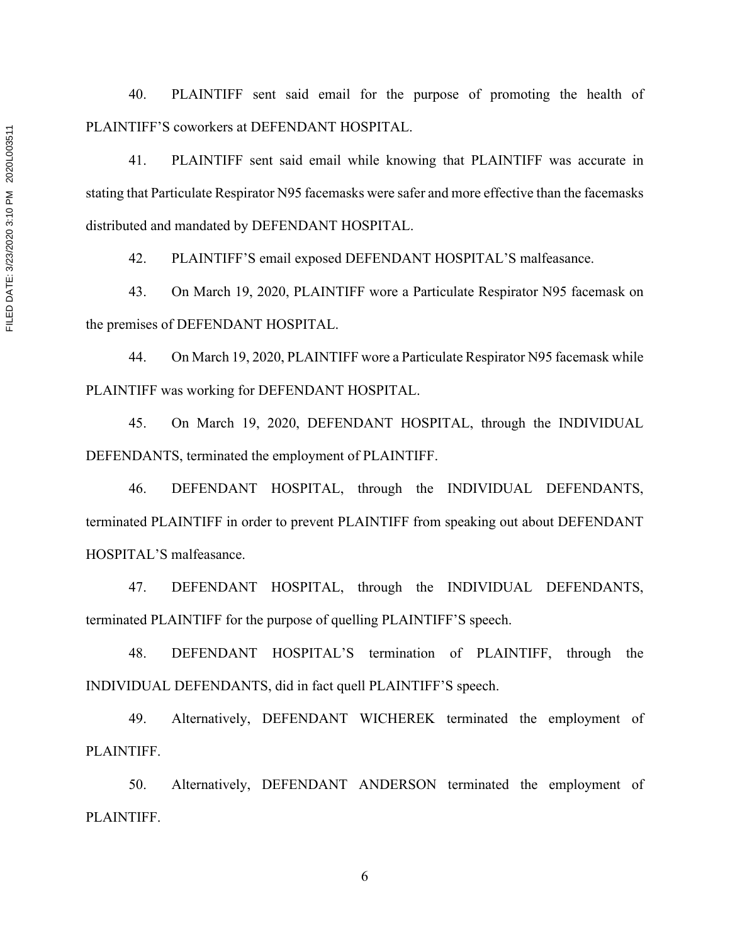40. PLAINTIFF sent said email for the purpose of promoting the health of PLAINTIFF'S coworkers at DEFENDANT HOSPITAL.

41. PLAINTIFF sent said email while knowing that PLAINTIFF was accurate in stating that Particulate Respirator N95 facemasks were safer and more effective than the facemasks distributed and mandated by DEFENDANT HOSPITAL.

42. PLAINTIFF'S email exposed DEFENDANT HOSPITAL'S malfeasance.

43. On March 19, 2020, PLAINTIFF wore a Particulate Respirator N95 facemask on the premises of DEFENDANT HOSPITAL.

44. On March 19, 2020, PLAINTIFF wore a Particulate Respirator N95 facemask while PLAINTIFF was working for DEFENDANT HOSPITAL.

45. On March 19, 2020, DEFENDANT HOSPITAL, through the INDIVIDUAL DEFENDANTS, terminated the employment of PLAINTIFF.

46. DEFENDANT HOSPITAL, through the INDIVIDUAL DEFENDANTS, terminated PLAINTIFF in order to prevent PLAINTIFF from speaking out about DEFENDANT HOSPITAL'S malfeasance.

47. DEFENDANT HOSPITAL, through the INDIVIDUAL DEFENDANTS, terminated PLAINTIFF for the purpose of quelling PLAINTIFF'S speech.

48. DEFENDANT HOSPITAL'S termination of PLAINTIFF, through the INDIVIDUAL DEFENDANTS, did in fact quell PLAINTIFF'S speech.

49. Alternatively, DEFENDANT WICHEREK terminated the employment of PLAINTIFF.

50. Alternatively, DEFENDANT ANDERSON terminated the employment of PLAINTIFF.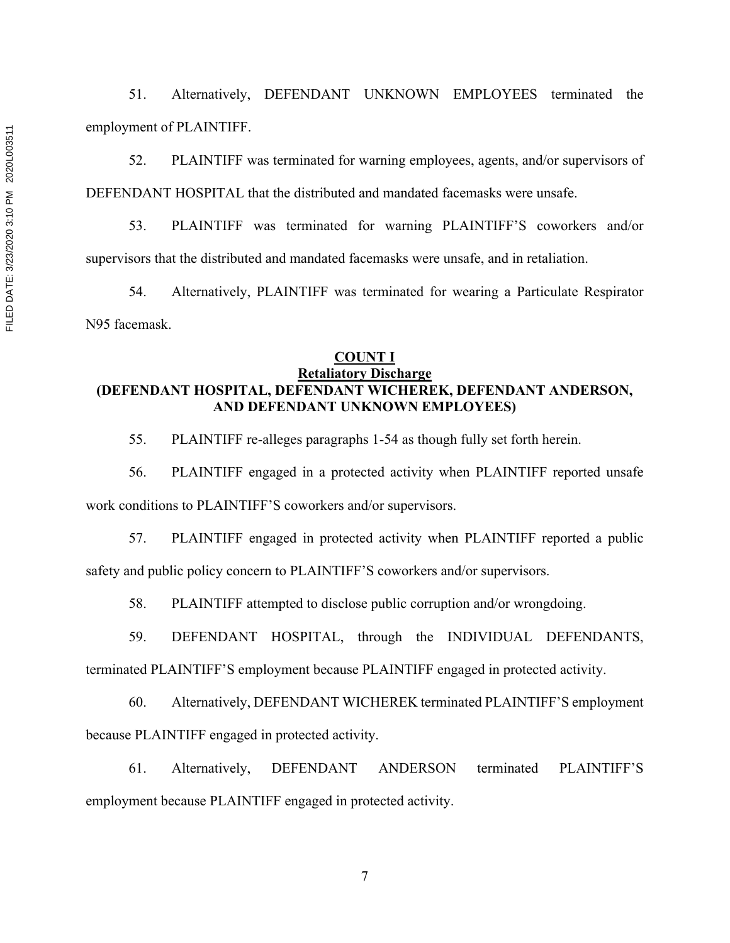51. Alternatively, DEFENDANT UNKNOWN EMPLOYEES terminated the employment of PLAINTIFF.

52. PLAINTIFF was terminated for warning employees, agents, and/or supervisors of DEFENDANT HOSPITAL that the distributed and mandated facemasks were unsafe.

53. PLAINTIFF was terminated for warning PLAINTIFF'S coworkers and/or supervisors that the distributed and mandated facemasks were unsafe, and in retaliation.

54. Alternatively, PLAINTIFF was terminated for wearing a Particulate Respirator N95 facemask.

# **COUNT I**

## **Retaliatory Discharge (DEFENDANT HOSPITAL, DEFENDANT WICHEREK, DEFENDANT ANDERSON, AND DEFENDANT UNKNOWN EMPLOYEES)**

55. PLAINTIFF re-alleges paragraphs 1-54 as though fully set forth herein.

56. PLAINTIFF engaged in a protected activity when PLAINTIFF reported unsafe

work conditions to PLAINTIFF'S coworkers and/or supervisors.

57. PLAINTIFF engaged in protected activity when PLAINTIFF reported a public safety and public policy concern to PLAINTIFF'S coworkers and/or supervisors.

58. PLAINTIFF attempted to disclose public corruption and/or wrongdoing.

59. DEFENDANT HOSPITAL, through the INDIVIDUAL DEFENDANTS,

terminated PLAINTIFF'S employment because PLAINTIFF engaged in protected activity.

60. Alternatively, DEFENDANT WICHEREK terminated PLAINTIFF'S employment because PLAINTIFF engaged in protected activity.

61. Alternatively, DEFENDANT ANDERSON terminated PLAINTIFF'S employment because PLAINTIFF engaged in protected activity.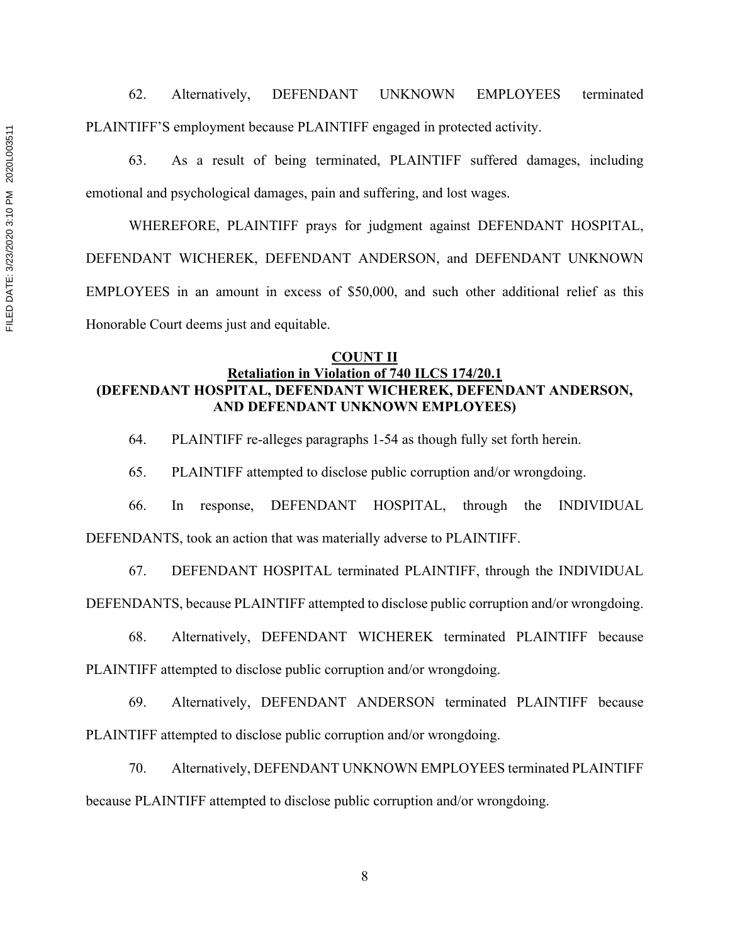62. Alternatively, DEFENDANT UNKNOWN EMPLOYEES terminated PLAINTIFF'S employment because PLAINTIFF engaged in protected activity.

63. As a result of being terminated, PLAINTIFF suffered damages, including emotional and psychological damages, pain and suffering, and lost wages.

WHEREFORE, PLAINTIFF prays for judgment against DEFENDANT HOSPITAL, DEFENDANT WICHEREK, DEFENDANT ANDERSON, and DEFENDANT UNKNOWN EMPLOYEES in an amount in excess of \$50,000, and such other additional relief as this Honorable Court deems just and equitable.

#### **COUNT II**

## **Retaliation in Violation of 740 ILCS 174/20.1 (DEFENDANT HOSPITAL, DEFENDANT WICHEREK, DEFENDANT ANDERSON, AND DEFENDANT UNKNOWN EMPLOYEES)**

64. PLAINTIFF re-alleges paragraphs 1-54 as though fully set forth herein.

65. PLAINTIFF attempted to disclose public corruption and/or wrongdoing.

66. In response, DEFENDANT HOSPITAL, through the INDIVIDUAL

DEFENDANTS, took an action that was materially adverse to PLAINTIFF.

67. DEFENDANT HOSPITAL terminated PLAINTIFF, through the INDIVIDUAL

DEFENDANTS, because PLAINTIFF attempted to disclose public corruption and/or wrongdoing.

68. Alternatively, DEFENDANT WICHEREK terminated PLAINTIFF because

PLAINTIFF attempted to disclose public corruption and/or wrongdoing.

69. Alternatively, DEFENDANT ANDERSON terminated PLAINTIFF because PLAINTIFF attempted to disclose public corruption and/or wrongdoing.

70. Alternatively, DEFENDANT UNKNOWN EMPLOYEES terminated PLAINTIFF

because PLAINTIFF attempted to disclose public corruption and/or wrongdoing.

FILED DATE: 3/23/2020 3:10 PM 2020L003511 FILED DATE: 3/23/2020 3:10 PM 2020L003511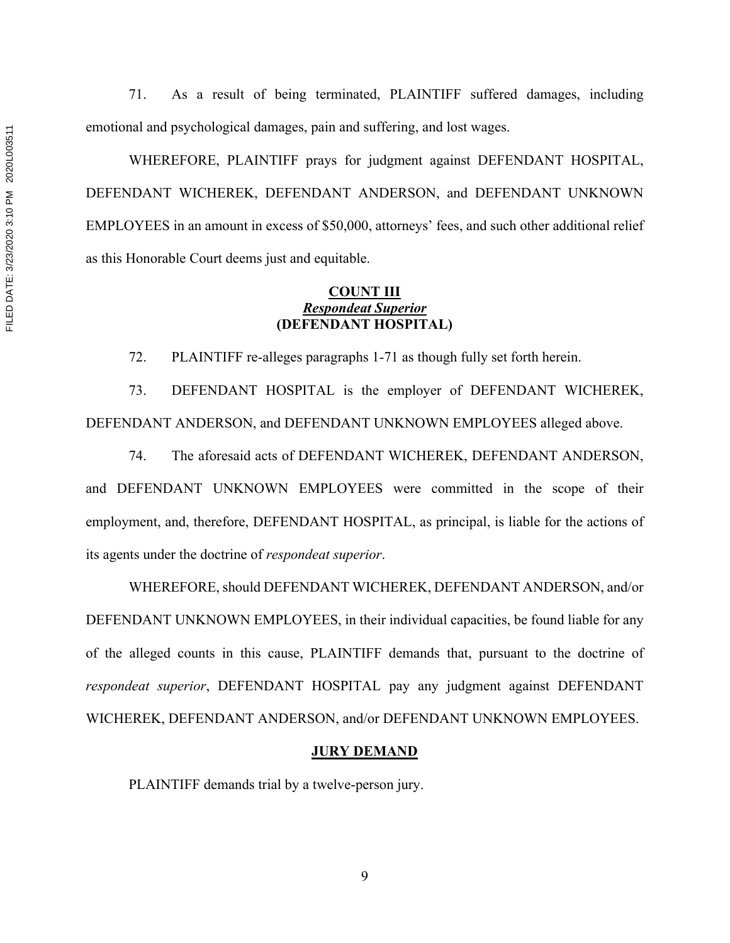71. As a result of being terminated, PLAINTIFF suffered damages, including emotional and psychological damages, pain and suffering, and lost wages.

WHEREFORE, PLAINTIFF prays for judgment against DEFENDANT HOSPITAL, DEFENDANT WICHEREK, DEFENDANT ANDERSON, and DEFENDANT UNKNOWN EMPLOYEES in an amount in excess of \$50,000, attorneys' fees, and such other additional relief as this Honorable Court deems just and equitable.

## **COUNT III** *Respondeat Superior*  **(DEFENDANT HOSPITAL)**

72. PLAINTIFF re-alleges paragraphs 1-71 as though fully set forth herein.

73. DEFENDANT HOSPITAL is the employer of DEFENDANT WICHEREK, DEFENDANT ANDERSON, and DEFENDANT UNKNOWN EMPLOYEES alleged above.

74. The aforesaid acts of DEFENDANT WICHEREK, DEFENDANT ANDERSON, and DEFENDANT UNKNOWN EMPLOYEES were committed in the scope of their employment, and, therefore, DEFENDANT HOSPITAL, as principal, is liable for the actions of its agents under the doctrine of *respondeat superior*.

WHEREFORE, should DEFENDANT WICHEREK, DEFENDANT ANDERSON, and/or DEFENDANT UNKNOWN EMPLOYEES, in their individual capacities, be found liable for any of the alleged counts in this cause, PLAINTIFF demands that, pursuant to the doctrine of *respondeat superior*, DEFENDANT HOSPITAL pay any judgment against DEFENDANT WICHEREK, DEFENDANT ANDERSON, and/or DEFENDANT UNKNOWN EMPLOYEES.

#### **JURY DEMAND**

PLAINTIFF demands trial by a twelve-person jury.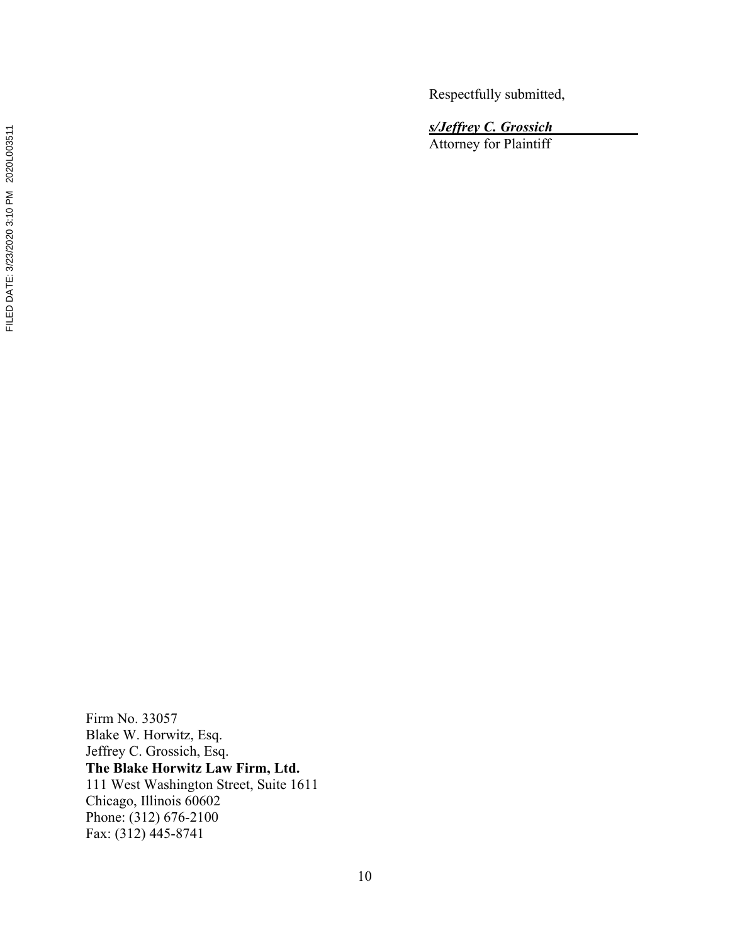Respectfully submitted,

*s/Jeffrey C. Grossich\_\_\_\_\_\_\_\_\_\_\_\_*

Attorney for Plaintiff

Firm No. 33057 Blake W. Horwitz, Esq. Jeffrey C. Grossich, Esq. **The Blake Horwitz Law Firm, Ltd.**  111 West Washington Street, Suite 1611 Chicago, Illinois 60602 Phone: (312) 676-2100 Fax: (312) 445-8741